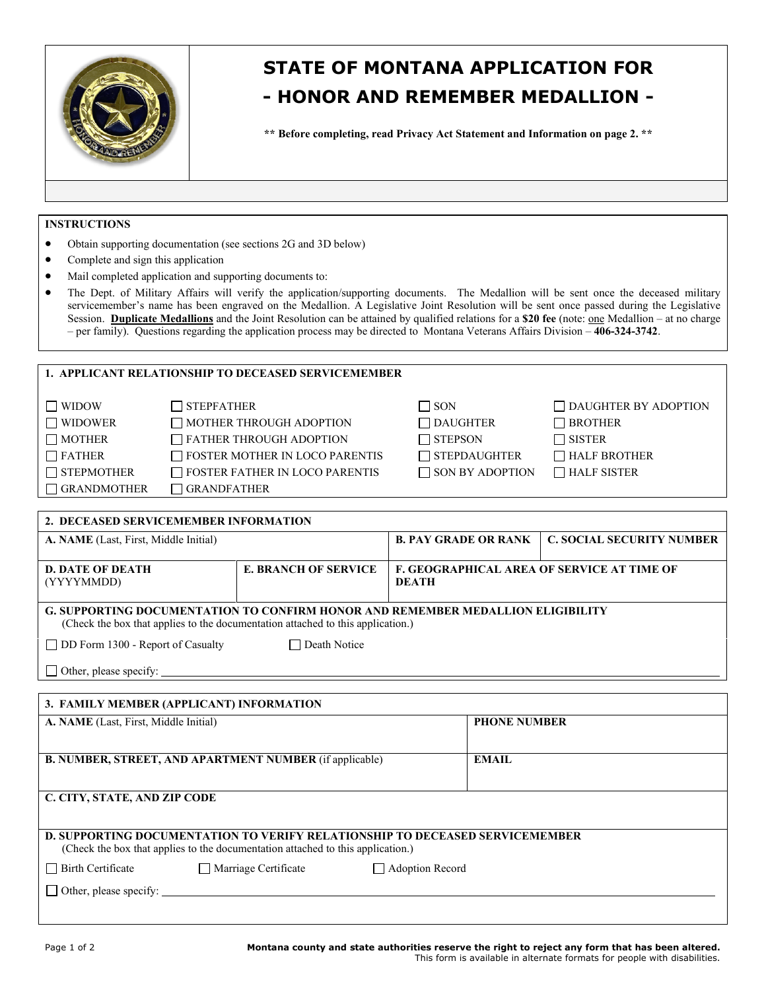

## **STATE OF MONTANA APPLICATION FOR - HONOR AND REMEMBER MEDALLION -**

**\*\* Before completing, read Privacy Act Statement and Information on page 2. \*\***

## **INSTRUCTIONS**

- Obtain supporting documentation (see sections 2G and 3D below)
- Complete and sign this application
- Mail completed application and supporting documents to:
- The Dept. of Military Affairs will verify the application/supporting documents. The Medallion will be sent once the deceased military servicemember's name has been engraved on the Medallion. A Legislative Joint Resolution will be sent once passed during the Legislative Session. **Duplicate Medallions** and the Joint Resolution can be attained by qualified relations for a \$20 fee (note: <u>one</u> Medallion – at no charge – per family). Questions regarding the application process may be directed to Montana Veterans Affairs Division – **406-324-3742**.

## **1. APPLICANT RELATIONSHIP TO DECEASED SERVICEMEMBER**

| $\Box$ WIDOW       | $\Box$ STEPFATHER                     | $\Box$ SON             | $\Box$ DAUGHTER BY ADOPTION |
|--------------------|---------------------------------------|------------------------|-----------------------------|
| $\Box$ WIDOWER     | $\Box$ MOTHER THROUGH ADOPTION        | $\Box$ DAUGHTER        | □ BROTHER                   |
| $\Box$ MOTHER      | $\Box$ FATHER THROUGH ADOPTION        | □ STEPSON              | $\Box$ sister               |
| $\Box$ FATHER      | $\Box$ FOSTER MOTHER IN LOCO PARENTIS | $\Box$ STEPDAUGHTER    | $\Box$ HALF BROTHER         |
| $\Box$ STEPMOTHER  | $\Box$ FOSTER FATHER IN LOCO PARENTIS | $\Box$ SON BY ADOPTION | $\Box$ HALF SISTER          |
| $\Box$ GRANDMOTHER | GRANDFATHER                           |                        |                             |

| 2. DECEASED SERVICEMEMBER INFORMATION                                                                                                                                     |  |                                                            |                                  |  |  |
|---------------------------------------------------------------------------------------------------------------------------------------------------------------------------|--|------------------------------------------------------------|----------------------------------|--|--|
| A. NAME (Last, First, Middle Initial)                                                                                                                                     |  | <b>B. PAY GRADE OR RANK</b>                                | <b>C. SOCIAL SECURITY NUMBER</b> |  |  |
| <b>E. BRANCH OF SERVICE</b><br><b>D. DATE OF DEATH</b><br>(YYYYMMDD)                                                                                                      |  | <b>F. GEOGRAPHICAL AREA OF SERVICE AT TIME OF</b><br>DEATH |                                  |  |  |
| <b>G. SUPPORTING DOCUMENTATION TO CONFIRM HONOR AND REMEMBER MEDALLION ELIGIBILITY</b><br>(Check the box that applies to the documentation attached to this application.) |  |                                                            |                                  |  |  |
| $\Box$ Death Notice<br>$\Box$ DD Form 1300 - Report of Casualty                                                                                                           |  |                                                            |                                  |  |  |
| Other, please specify:                                                                                                                                                    |  |                                                            |                                  |  |  |

# **3. FAMILY MEMBER (APPLICANT) INFORMATION A. NAME** (Last, First, Middle Initial) **PHONE NUMBER B. NUMBER, STREET, AND APARTMENT NUMBER** (if applicable) **EMAIL C. CITY, STATE, AND ZIP CODE D. SUPPORTING DOCUMENTATION TO VERIFY RELATIONSHIP TO DECEASED SERVICEMEMBER** (Check the box that applies to the documentation attached to this application.) □ Birth Certificate △ D Marriage Certificate △ D Adoption Record  $\Box$  Other, please specify: